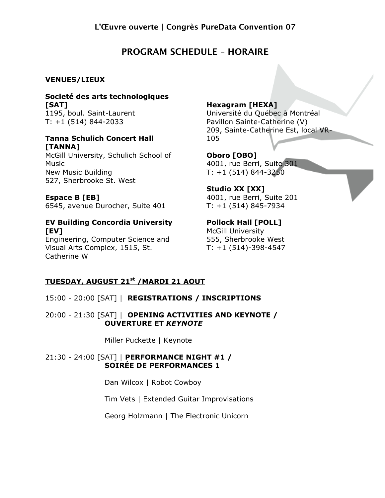# **PROGRAM SCHEDULE – HORAIRE**

### **VENUES/LIEUX**

### **Societé des arts technologiques [SAT]** 1195, boul. Saint-Laurent

T: +1 (514) 844-2033

#### **Tanna Schulich Concert Hall [TANNA]**

McGill University, Schulich School of Music New Music Building 527, Sherbrooke St. West

**Espace B [EB]** 6545, avenue Durocher, Suite 401

### **EV Building Concordia University [EV]**

Engineering, Computer Science and Visual Arts Complex, 1515, St. Catherine W

# **Hexagram [HEXA]**

Université du Québec à Montréal Pavillon Sainte-Catherine (V) 209, Sainte-Catherine Est, local VR-105

**Oboro [OBO]** 4001, rue Berri, Suite 301 T: +1 (514) 844-3250

**Studio XX [XX]** 4001, rue Berri, Suite 201 T: +1 (514) 845-7934

### **Pollock Hall [POLL]** McGill University 555, Sherbrooke West T: +1 (514)-398-4547

## **TUESDAY, AUGUST 21st /MARDI 21 AOUT**

### 15:00 - 20:00 [SAT] | **REGISTRATIONS / INSCRIPTIONS**

### 20:00 - 21:30 [SAT] | **OPENING ACTIVITIES AND KEYNOTE / OUVERTURE ET** *KEYNOTE*

Miller Puckette | Keynote

### 21:30 - 24:00 [SAT] | **PERFORMANCE NIGHT #1 / SOIRÉE DE PERFORMANCES 1**

Dan Wilcox | Robot Cowboy

Tim Vets | Extended Guitar Improvisations

Georg Holzmann | The Electronic Unicorn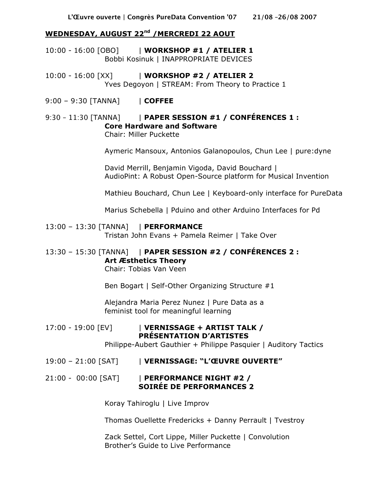### **WEDNESDAY, AUGUST 22nd /MERCREDI 22 AOUT**

- 10:00 16:00 [OBO] | **WORKSHOP #1 / ATELIER 1** Bobbi Kosinuk | INAPPROPRIATE DEVICES
- 10:00 16:00 [XX] | **WORKSHOP #2 / ATELIER 2** Yves Degoyon | STREAM: From Theory to Practice 1
- 9:00 9:30 [TANNA] | **COFFEE**

# 9:30 – 11:30 [TANNA] | **PAPER SESSION #1 / CONFÉRENCES 1 : Core Hardware and Software**

Chair: Miller Puckette

Aymeric Mansoux, Antonios Galanopoulos, Chun Lee | pure:dyne

David Merrill, Benjamin Vigoda, David Bouchard | AudioPint: A Robust Open-Source platform for Musical Invention

Mathieu Bouchard, Chun Lee | Keyboard-only interface for PureData

Marius Schebella | Pduino and other Arduino Interfaces for Pd

#### 13:00 – 13:30 [TANNA] | **PERFORMANCE**

Tristan John Evans + Pamela Reimer | Take Over

# 13:30 – 15:30 [TANNA] | **PAPER SESSION #2 / CONFÉRENCES 2 : Art Æsthetics Theory**

Chair: Tobias Van Veen

Ben Bogart | Self-Other Organizing Structure #1

Alejandra Maria Perez Nunez | Pure Data as a feminist tool for meaningful learning

#### 17:00 - 19:00 [EV] | **VERNISSAGE + ARTIST TALK / PRÉSENTATION D'ARTISTES**

Philippe-Aubert Gauthier + Philippe Pasquier | Auditory Tactics

19:00 – 21:00 [SAT] | **VERNISSAGE: "L'ŒUVRE OUVERTE"**

### 21:00 - 00:00 [SAT] | **PERFORMANCE NIGHT #2 / SOIRÉE DE PERFORMANCES 2**

Koray Tahiroglu | Live Improv

Thomas Ouellette Fredericks + Danny Perrault | Tvestroy

Zack Settel, Cort Lippe, Miller Puckette | Convolution Brother's Guide to Live Performance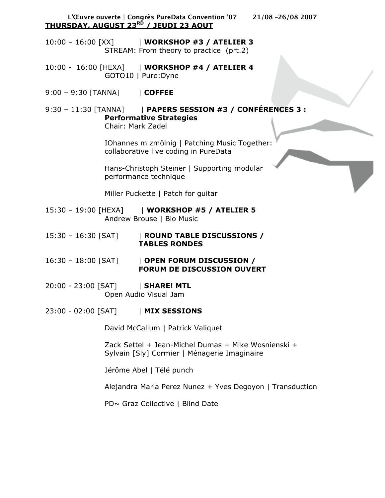**L'Œuvre ouverte | Congrès PureData Convention '07 21/08 –26/08 2007 THURSDAY, AUGUST 23RD / JEUDI 23 AOUT**

10:00 – 16:00 [XX] | **WORKSHOP #3 / ATELIER 3** STREAM: From theory to practice (prt.2)

10:00 - 16:00 [HEXA] | **WORKSHOP #4 / ATELIER 4** GOTO10 | Pure:Dyne

9:00 – 9:30 [TANNA] | **COFFEE**

9:30 – 11:30 [TANNA] | **PAPERS SESSION #3 / CONFÉRENCES 3 : Performative Strategies**

Chair: Mark Zadel

IOhannes m zmölnig | Patching Music Together: collaborative live coding in PureData

Hans-Christoph Steiner | Supporting modular performance technique

Miller Puckette | Patch for guitar

- 15:30 19:00 [HEXA] | **WORKSHOP #5 / ATELIER 5** Andrew Brouse | Bio Music
- 15:30 16:30 [SAT] | **ROUND TABLE DISCUSSIONS / TABLES RONDES**
- 16:30 18:00 [SAT] | **OPEN FORUM DISCUSSION / FORUM DE DISCUSSION OUVERT**
- 20:00 23:00 [SAT] | **SHARE! MTL** Open Audio Visual Jam
- 23:00 02:00 [SAT] | **MIX SESSIONS**

David McCallum | Patrick Valiquet

Zack Settel + Jean-Michel Dumas + Mike Wosnienski + Sylvain [Sly] Cormier | Ménagerie Imaginaire

Jérôme Abel | Télé punch

Alejandra Maria Perez Nunez + Yves Degoyon | Transduction

PD~ Graz Collective | Blind Date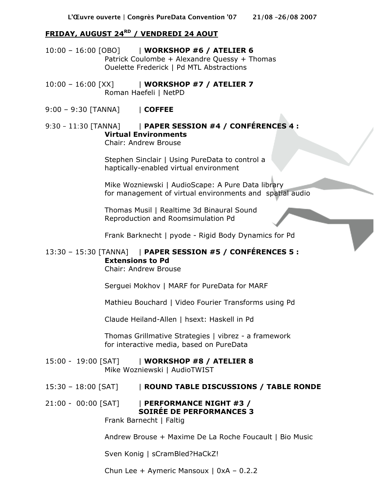### **FRIDAY, AUGUST 24RD / VENDREDI 24 AOUT**

- 10:00 16:00 [OBO] | **WORKSHOP #6 / ATELIER 6** Patrick Coulombe + Alexandre Quessy + Thomas Ouelette Frederick | Pd MTL Abstractions
- 10:00 16:00 [XX] | **WORKSHOP #7 / ATELIER 7** Roman Haefeli | NetPD
- 9:00 9:30 [TANNA] | **COFFEE**

### 9:30 – 11:30 [TANNA] | **PAPER SESSION #4 / CONFÉRENCES 4 : Virtual Environments** Chair: Andrew Brouse

Stephen Sinclair | Using PureData to control a haptically-enabled virtual environment

Mike Wozniewski | AudioScape: A Pure Data library for management of virtual environments and spatial audio

Thomas Musil | Realtime 3d Binaural Sound Reproduction and Roomsimulation Pd

Frank Barknecht | pyode - Rigid Body Dynamics for Pd

# 13:30 – 15:30 [TANNA] | **PAPER SESSION #5 / CONFÉRENCES 5 : Extensions to Pd**

Chair: Andrew Brouse

Serguei Mokhov | MARF for PureData for MARF

Mathieu Bouchard | Video Fourier Transforms using Pd

Claude Heiland-Allen | hsext: Haskell in Pd

Thomas Grillmative Strategies | vibrez - a framework for interactive media, based on PureData

- 15:00 19:00 [SAT] | **WORKSHOP #8 / ATELIER 8** Mike Wozniewski | AudioTWIST
- 15:30 18:00 [SAT] | **ROUND TABLE DISCUSSIONS / TABLE RONDE**
- 21:00 00:00 [SAT] | **PERFORMANCE NIGHT #3 / SOIRÉE DE PERFORMANCES 3** Frank Barnecht | Faltig

Andrew Brouse + Maxime De La Roche Foucault | Bio Music

Sven Konig | sCramBled?HaCkZ!

Chun Lee + Aymeric Mansoux | 0xA – 0.2.2